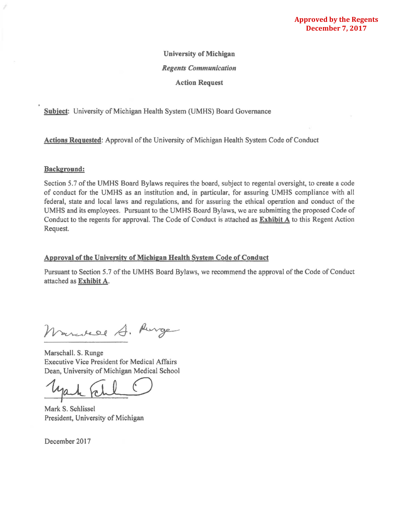### University of Michigan

#### *Regents Communication*

Action Request

Subject: University of Michigan Health System (UMHS) Board Governance

Actions Requested: Approval of the University of Michigan Health System Code of Conduct

#### Background:

Section 5.7 of the UMHS Board Bylaws requires the board, subject to regental oversight, to create a code of conduct for the UMHS as an institution and, in particular, for assuring UMHS compliance with all federal, state and local laws and regulations, and for assuring the ethical operation and conduct of the UMHS and its employees. Pursuant to the UMHS Board Bylaws, we are submitting the proposed Code of Conduct to the regents for approval. The Code of Conduct is attached as Exhibit A to this Regent Action Request.

#### Approval of the University of Michigan Health System Code of Conduct

Pursuant to Section 5.7 of the UMHS Board Bylaws, we recommend the approval of the Code of Conduct attached as Exhibit A.

arcitede A. Aurge

Marschall. S. Runge Executive Vice President for Medical Affairs Dean, University of Michigan Medical School

yak Fell O

Mark S. Schlissel President, University of Michigan

December 2017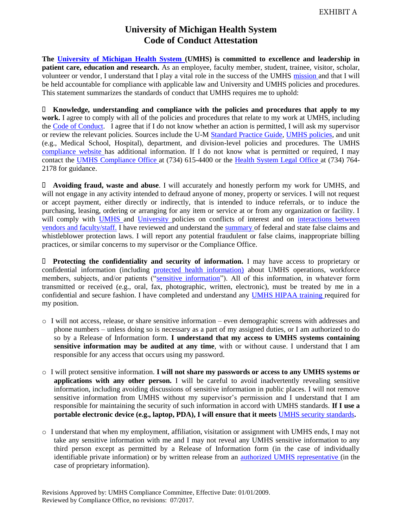## **University of Michigan Health System Code of Conduct Attestation**

**The [University of Michigan Health System](http://www.med.umich.edu/) (UMHS) is committed to excellence and leadership in patient care, education and research.** As an employee, faculty member, student, trainee, visitor, scholar, volunteer or vendor, I understand that I play a vital role in the success of the UMHS [mission](http://www.med.umich.edu/1busi/mission.htm) and that I will be held accountable for compliance with applicable law and University and UMHS policies and procedures. This statement summarizes the standards of conduct that UMHS requires me to uphold:

 **Knowledge, understanding and compliance with the policies and procedures that apply to my work.** I agree to comply with all of the policies and procedures that relate to my work at UMHS, including the [Code of Conduct.](http://www.med.umich.edu/u/compliance/resources/code/index.htm) I agree that if I do not know whether an action is permitted, I will ask my supervisor or review the relevant policies. Sources include the U-M [Standard Practice Guide,](http://spg.umich.edu/) [UMHS policies,](http://www.med.umich.edu/i/policies/umh/toc.html) and unit (e.g., Medical School, Hospital), department, and division-level policies and procedures. The UMHS [compliance website](http://www.med.umich.edu/u/compliance/) has additional information. If I do not know what is permitted or required, I may contact the [UMHS Compliance Office](http://www.med.umich.edu/compliance/index.htm) at (734) 615-4400 or the [Health System Legal Office](http://www.med.umich.edu/u/attorney/) at (734) 764- 2178 for guidance.

 **Avoiding fraud, waste and abuse**. I will accurately and honestly perform my work for UMHS, and will not engage in any activity intended to defraud anyone of money, property or services. I will not request or accept payment, either directly or indirectly, that is intended to induce referrals, or to induce the purchasing, leasing, ordering or arranging for any item or service at or from any organization or facility. I will comply with [UMHS](http://www.med.umich.edu/i/policies/umh/01-04-003.html) and [University](http://spg.umich.edu/pdf/201.65-1.pdf) policies on conflicts of interest and on interactions between [vendors and faculty/staff.](http://www.med.umich.edu/i/policies/umh/01-04-008.htm) I have reviewed and understand the [summary](http://www.med.umich.edu/u/medlaw/false.htm) of federal and state false claims and whistleblower protection laws. I will report any potential fraudulent or false claims, inappropriate billing practices, or similar concerns to my supervisor or the Compliance Office.

 **Protecting the confidentiality and security of information.** I may have access to proprietary or confidential information (including [protected health information\)](http://www.med.umich.edu/i/policies/umh/01-04-300.htm) about UMHS operations, workforce members, subjects, and/or patients (["sensitive information"](http://spg.umich.edu/pdf/601.12.pdf)). All of this information, in whatever form transmitted or received (e.g., oral, fax, photographic, written, electronic), must be treated by me in a confidential and secure fashion. I have completed and understand any [UMHS HIPAA training](http://www.med.umich.edu/u/compliance/area/privacy/training.htm) required for my position.

- o I will not access, release, or share sensitive information even demographic screens with addresses and phone numbers – unless doing so is necessary as a part of my assigned duties, or I am authorized to do so by a Release of Information form. **I understand that my access to UMHS systems containing sensitive information may be audited at any time**, with or without cause. I understand that I am responsible for any access that occurs using my password.
- o I will protect sensitive information. **I will not share my passwords or access to any UMHS systems or applications with any other person.** I will be careful to avoid inadvertently revealing sensitive information, including avoiding discussions of sensitive information in public places. I will not remove sensitive information from UMHS without my supervisor's permission and I understand that I am responsible for maintaining the security of such information in accord with UMHS standards. **If I use a portable electronic device (e.g., laptop, PDA), I will ensure that it meets** [UMHS security standards](http://www.med.umich.edu/u/compliance/area/privacy/security.htm)**.**
- o I understand that when my employment, affiliation, visitation or assignment with UMHS ends, I may not take any sensitive information with me and I may not reveal any UMHS sensitive information to any third person except as permitted by a Release of Information form (in the case of individually identifiable private information) or by written release from an [authorized UMHS representative](http://www.umich.edu/~avpf/signauth.html) (in the case of proprietary information).